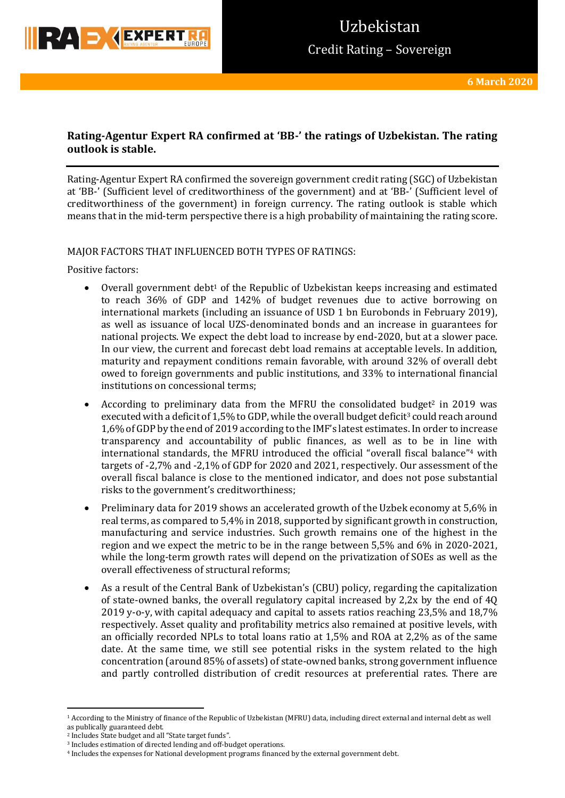

## **Rating-Agentur Expert RA confirmed at 'BB-' the ratings of Uzbekistan. The rating outlook is stable.**

Rating-Agentur Expert RA confirmed the sovereign government credit rating (SGC) of Uzbekistan at 'BB-' (Sufficient level of creditworthiness of the government) and at 'BB-' (Sufficient level of creditworthiness of the government) in foreign currency. The rating outlook is stable which means that in the mid-term perspective there is a high probability of maintaining the rating score.

## MAJOR FACTORS THAT INFLUENCED BOTH TYPES OF RATINGS:

Positive factors:

- Overall government debt<sup>1</sup> of the Republic of Uzbekistan keeps increasing and estimated to reach 36% of GDP and 142% of budget revenues due to active borrowing on international markets (including an issuance of USD 1 bn Eurobonds in February 2019), as well as issuance of local UZS-denominated bonds and an increase in guarantees for national projects. We expect the debt load to increase by end-2020, but at a slower pace. In our view, the current and forecast debt load remains at acceptable levels. In addition, maturity and repayment conditions remain favorable, with around 32% of overall debt owed to foreign governments and public institutions, and 33% to international financial institutions on concessional terms;
- According to preliminary data from the MFRU the consolidated budget<sup>2</sup> in 2019 was executed with a deficit of 1,5% to GDP, while the overall budget deficit<sup>3</sup> could reach around 1,6% of GDP by the end of 2019 according to the IMF's latest estimates. In order to increase transparency and accountability of public finances, as well as to be in line with international standards, the MFRU introduced the official "overall fiscal balance"<sup>4</sup> with targets of -2,7% and -2,1% of GDP for 2020 and 2021, respectively. Our assessment of the overall fiscal balance is close to the mentioned indicator, and does not pose substantial risks to the government's creditworthiness;
- Preliminary data for 2019 shows an accelerated growth of the Uzbek economy at 5,6% in real terms, as compared to 5,4% in 2018, supported by significant growth in construction, manufacturing and service industries. Such growth remains one of the highest in the region and we expect the metric to be in the range between 5,5% and 6% in 2020-2021, while the long-term growth rates will depend on the privatization of SOEs as well as the overall effectiveness of structural reforms;
- As a result of the Central Bank of Uzbekistan's (CBU) policy, regarding the capitalization of state-owned banks, the overall regulatory capital increased by 2,2x by the end of 4Q 2019 y-o-y, with capital adequacy and capital to assets ratios reaching 23,5% and 18,7% respectively. Asset quality and profitability metrics also remained at positive levels, with an officially recorded NPLs to total loans ratio at 1,5% and ROA at 2,2% as of the same date. At the same time, we still see potential risks in the system related to the high concentration (around 85% of assets) of state-owned banks, strong government influence and partly controlled distribution of credit resources at preferential rates. There are

**.** 

<sup>1</sup> According to the Ministry of finance of the Republic of Uzbekistan (MFRU) data, including direct external and internal debt as well as publically guaranteed debt.

<sup>2</sup> Includes State budget and all "State target funds".

<sup>3</sup> Includes estimation of directed lending and off-budget operations.

<sup>4</sup> Includes the expenses for National development programs financed by the external government debt.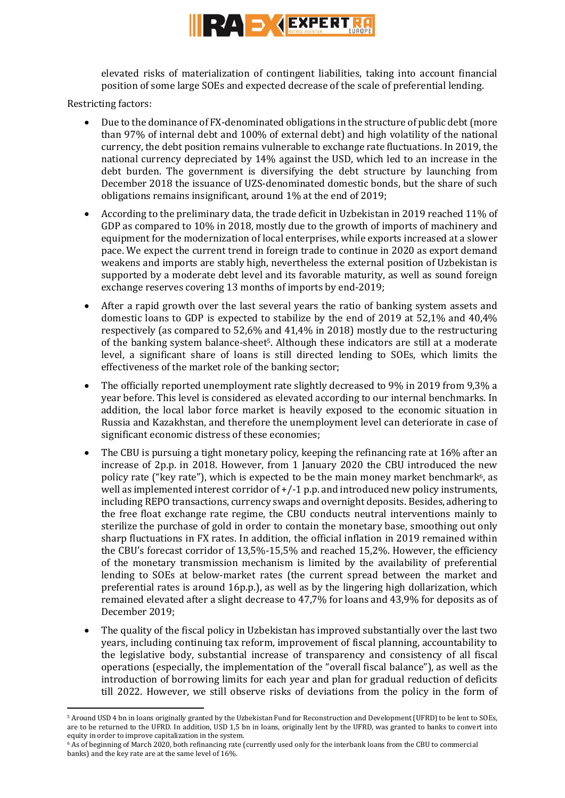

elevated risks of materialization of contingent liabilities, taking into account financial position of some large SOEs and expected decrease of the scale of preferential lending.

Restricting factors:

**.** 

- Due to the dominance of FX-denominated obligations in the structure of public debt (more than 97% of internal debt and 100% of external debt) and high volatility of the national currency, the debt position remains vulnerable to exchange rate fluctuations. In 2019, the national currency depreciated by 14% against the USD, which led to an increase in the debt burden. The government is diversifying the debt structure by launching from December 2018 the issuance of UZS-denominated domestic bonds, but the share of such obligations remains insignificant, around 1% at the end of 2019;
- According to the preliminary data, the trade deficit in Uzbekistan in 2019 reached 11% of GDP as compared to 10% in 2018, mostly due to the growth of imports of machinery and equipment for the modernization of local enterprises, while exports increased at a slower pace. We expect the current trend in foreign trade to continue in 2020 as export demand weakens and imports are stably high, nevertheless the external position of Uzbekistan is supported by a moderate debt level and its favorable maturity, as well as sound foreign exchange reserves covering 13 months of imports by end-2019;
- After a rapid growth over the last several years the ratio of banking system assets and domestic loans to GDP is expected to stabilize by the end of 2019 at 52,1% and 40,4% respectively (as compared to 52,6% and 41,4% in 2018) mostly due to the restructuring of the banking system balance-sheet5. Although these indicators are still at a moderate level, a significant share of loans is still directed lending to SOEs, which limits the effectiveness of the market role of the banking sector;
- The officially reported unemployment rate slightly decreased to 9% in 2019 from 9,3% a year before. This level is considered as elevated according to our internal benchmarks. In addition, the local labor force market is heavily exposed to the economic situation in Russia and Kazakhstan, and therefore the unemployment level can deteriorate in case of significant economic distress of these economies;
- The CBU is pursuing a tight monetary policy, keeping the refinancing rate at 16% after an increase of 2p.p. in 2018. However, from 1 January 2020 the CBU introduced the new policy rate ("key rate"), which is expected to be the main money market benchmark<sup>6</sup>, as well as implemented interest corridor of  $+/-1$  p.p. and introduced new policy instruments, including REPO transactions, currency swaps and overnight deposits. Besides, adhering to the free float exchange rate regime, the CBU conducts neutral interventions mainly to sterilize the purchase of gold in order to contain the monetary base, smoothing out only sharp fluctuations in FX rates. In addition, the official inflation in 2019 remained within the CBU's forecast corridor of 13,5%-15,5% and reached 15,2%. However, the efficiency of the monetary transmission mechanism is limited by the availability of preferential lending to SOEs at below-market rates (the current spread between the market and preferential rates is around 16p.p.), as well as by the lingering high dollarization, which remained elevated after a slight decrease to 47,7% for loans and 43,9% for deposits as of December 2019;
- The quality of the fiscal policy in Uzbekistan has improved substantially over the last two years, including continuing tax reform, improvement of fiscal planning, accountability to the legislative body, substantial increase of transparency and consistency of all fiscal operations (especially, the implementation of the "overall fiscal balance"), as well as the introduction of borrowing limits for each year and plan for gradual reduction of deficits till 2022. However, we still observe risks of deviations from the policy in the form of

<sup>5</sup> Around USD 4 bn in loans originally granted by the Uzbekistan Fund for Reconstruction and Development (UFRD) to be lent to SOEs, are to be returned to the UFRD. In addition, USD 1,5 bn in loans, originally lent by the UFRD, was granted to banks to convert into equity in order to improve capitalization in the system.

<sup>6</sup> As of beginning of March 2020, both refinancing rate (currently used only for the interbank loans from the CBU to commercial banks) and the key rate are at the same level of 16%.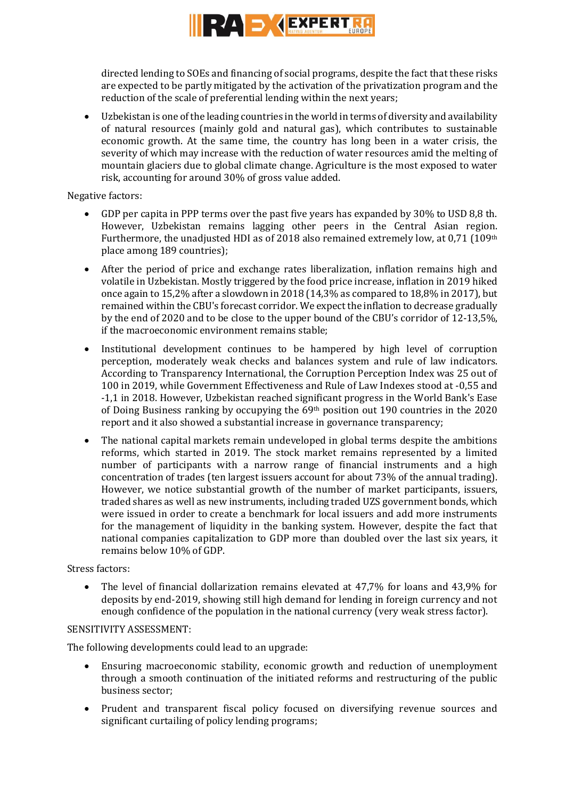

directed lending to SOEs and financing of social programs, despite the fact that these risks are expected to be partly mitigated by the activation of the privatization program and the reduction of the scale of preferential lending within the next years;

 Uzbekistan is one of the leading countries in the world in terms of diversity and availability of natural resources (mainly gold and natural gas), which contributes to sustainable economic growth. At the same time, the country has long been in a water crisis, the severity of which may increase with the reduction of water resources amid the melting of mountain glaciers due to global climate change. Agriculture is the most exposed to water risk, accounting for around 30% of gross value added.

## Negative factors:

- GDP per capita in PPP terms over the past five years has expanded by 30% to USD 8,8 th. However, Uzbekistan remains lagging other peers in the Central Asian region. Furthermore, the unadjusted HDI as of 2018 also remained extremely low, at 0,71 (109<sup>th</sup> place among 189 countries);
- After the period of price and exchange rates liberalization, inflation remains high and volatile in Uzbekistan. Mostly triggered by the food price increase, inflation in 2019 hiked once again to 15,2% after a slowdown in 2018 (14,3% as compared to 18,8% in 2017), but remained within the CBU's forecast corridor. We expect the inflation to decrease gradually by the end of 2020 and to be close to the upper bound of the CBU's corridor of 12-13,5%, if the macroeconomic environment remains stable;
- Institutional development continues to be hampered by high level of corruption perception, moderately weak checks and balances system and rule of law indicators. According to Transparency International, the Corruption Perception Index was 25 out of 100 in 2019, while Government Effectiveness and Rule of Law Indexes stood at -0,55 and -1,1 in 2018. However, Uzbekistan reached significant progress in the World Bank's Ease of Doing Business ranking by occupying the  $69<sup>th</sup>$  position out 190 countries in the 2020 report and it also showed a substantial increase in governance transparency;
- The national capital markets remain undeveloped in global terms despite the ambitions reforms, which started in 2019. The stock market remains represented by a limited number of participants with a narrow range of financial instruments and a high concentration of trades (ten largest issuers account for about 73% of the annual trading). However, we notice substantial growth of the number of market participants, issuers, traded shares as well as new instruments, including traded UZS government bonds, which were issued in order to create a benchmark for local issuers and add more instruments for the management of liquidity in the banking system. However, despite the fact that national companies capitalization to GDP more than doubled over the last six years, it remains below 10% of GDP.

### Stress factors:

 The level of financial dollarization remains elevated at 47,7% for loans and 43,9% for deposits by end-2019, showing still high demand for lending in foreign currency and not enough confidence of the population in the national currency (very weak stress factor).

### SENSITIVITY ASSESSMENT:

The following developments could lead to an upgrade:

- Ensuring macroeconomic stability, economic growth and reduction of unemployment through a smooth continuation of the initiated reforms and restructuring of the public business sector;
- Prudent and transparent fiscal policy focused on diversifying revenue sources and significant curtailing of policy lending programs;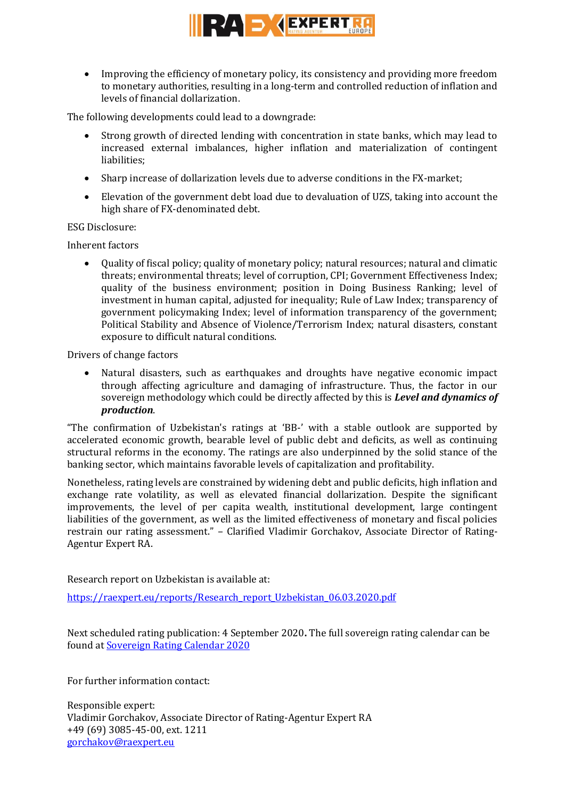

 Improving the efficiency of monetary policy, its consistency and providing more freedom to monetary authorities, resulting in a long-term and controlled reduction of inflation and levels of financial dollarization.

The following developments could lead to a downgrade:

- Strong growth of directed lending with concentration in state banks, which may lead to increased external imbalances, higher inflation and materialization of contingent liabilities;
- Sharp increase of dollarization levels due to adverse conditions in the FX-market;
- Elevation of the government debt load due to devaluation of UZS, taking into account the high share of FX-denominated debt.

ESG Disclosure:

Inherent factors

 Quality of fiscal policy; quality of monetary policy; natural resources; natural and climatic threats; environmental threats; level of corruption, CPI; Government Effectiveness Index; quality of the business environment; position in Doing Business Ranking; level of investment in human capital, adjusted for inequality; Rule of Law Index; transparency of government policymaking Index; level of information transparency of the government; Political Stability and Absence of Violence/Terrorism Index; natural disasters, constant exposure to difficult natural conditions.

Drivers of change factors

 Natural disasters, such as earthquakes and droughts have negative economic impact through affecting agriculture and damaging of infrastructure. Thus, the factor in our sovereign methodology which could be directly affected by this is *Level and dynamics of production*.

"The confirmation of Uzbekistan's ratings at 'BB-' with a stable outlook are supported by accelerated economic growth, bearable level of public debt and deficits, as well as continuing structural reforms in the economy. The ratings are also underpinned by the solid stance of the banking sector, which maintains favorable levels of capitalization and profitability.

Nonetheless, rating levels are constrained by widening debt and public deficits, high inflation and exchange rate volatility, as well as elevated financial dollarization. Despite the significant improvements, the level of per capita wealth, institutional development, large contingent liabilities of the government, as well as the limited effectiveness of monetary and fiscal policies restrain our rating assessment." – Clarified Vladimir Gorchakov, Associate Director of Rating-Agentur Expert RA.

Research report on Uzbekistan is available at:

[https://raexpert.eu/reports/Research\\_report\\_Uzbekistan\\_06.03.2020.pdf](https://raexpert.eu/reports/Research_report_Uzbekistan_06.03.2020.pdf)

Next scheduled rating publication: 4 September 2020**.** The full sovereign rating calendar can be found at [Sovereign Rating Calendar 2020](https://raexpert.eu/sovereign/#conf-tab-5)

For further information contact:

Responsible expert: Vladimir Gorchakov, Associate Director of Rating-Agentur Expert RA +49 (69) 3085-45-00, ext. 1211 [gorchakov@raexpert.eu](mailto:gorchakov@raexpert.eu)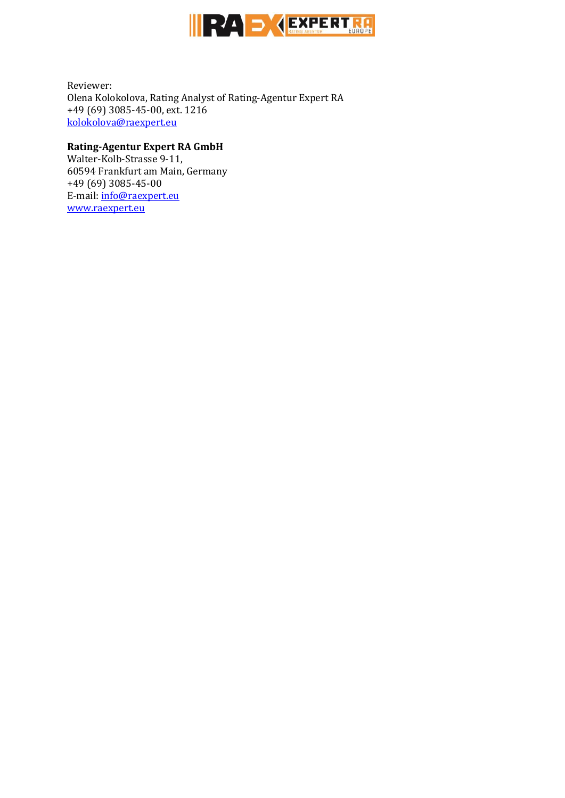

Reviewer: Olena Kolokolova, Rating Analyst of Rating-Agentur Expert RA +49 (69) 3085-45-00, ext. 1216 [kolokolova@raexpert.eu](mailto:kolokolova@raexpert.eu)

## **Rating-Agentur Expert RA GmbH**

Walter-Kolb-Strasse 9-11, 60594 Frankfurt am Main, Germany +49 (69) 3085-45-00 E-mail[: info@raexpert.eu](mailto:info@raexpert.eu) [www.raexpert.eu](http://raexpert.eu/)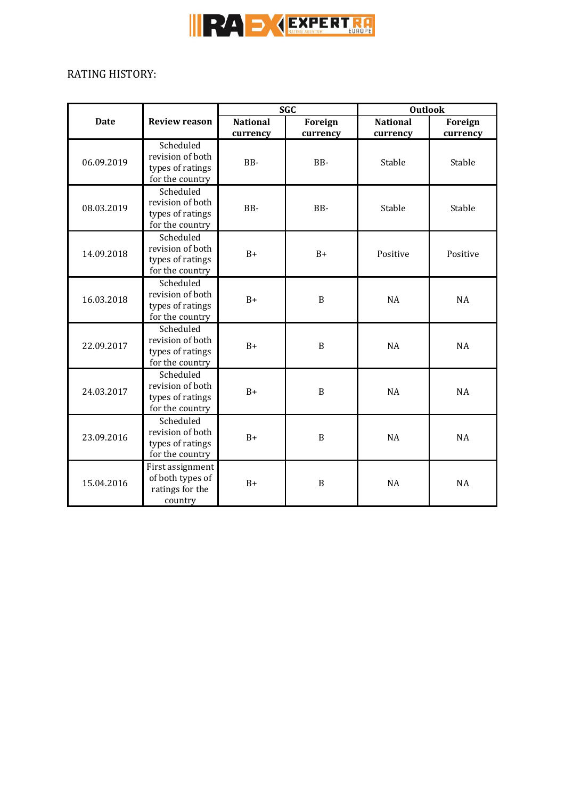

# RATING HISTORY:

| <b>Date</b> | <b>Review reason</b>                                                 | <b>SGC</b>                  |                     | <b>Outlook</b>              |                     |
|-------------|----------------------------------------------------------------------|-----------------------------|---------------------|-----------------------------|---------------------|
|             |                                                                      | <b>National</b><br>currency | Foreign<br>currency | <b>National</b><br>currency | Foreign<br>currency |
| 06.09.2019  | Scheduled<br>revision of both<br>types of ratings<br>for the country | BB-                         | BB-                 | Stable                      | Stable              |
| 08.03.2019  | Scheduled<br>revision of both<br>types of ratings<br>for the country | BB-                         | BB-                 | Stable                      | Stable              |
| 14.09.2018  | Scheduled<br>revision of both<br>types of ratings<br>for the country | $B+$                        | $B+$                | Positive                    | Positive            |
| 16.03.2018  | Scheduled<br>revision of both<br>types of ratings<br>for the country | $B+$                        | $\boldsymbol{B}$    | <b>NA</b>                   | NA                  |
| 22.09.2017  | Scheduled<br>revision of both<br>types of ratings<br>for the country | $B+$                        | $\boldsymbol{B}$    | <b>NA</b>                   | NA                  |
| 24.03.2017  | Scheduled<br>revision of both<br>types of ratings<br>for the country | $B+$                        | B                   | <b>NA</b>                   | <b>NA</b>           |
| 23.09.2016  | Scheduled<br>revision of both<br>types of ratings<br>for the country | $B+$                        | B                   | <b>NA</b>                   | NA                  |
| 15.04.2016  | First assignment<br>of both types of<br>ratings for the<br>country   | $B+$                        | $\boldsymbol{B}$    | <b>NA</b>                   | <b>NA</b>           |